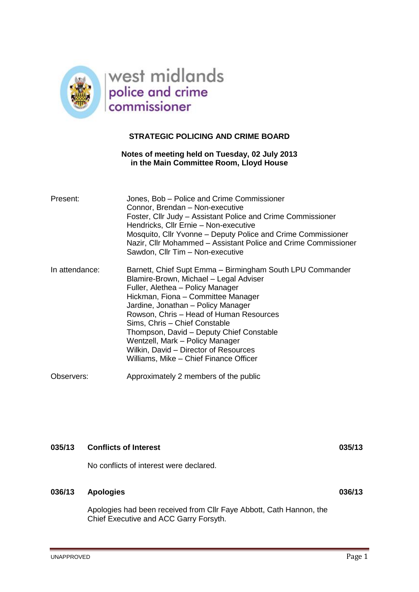

# **STRATEGIC POLICING AND CRIME BOARD**

# **Notes of meeting held on Tuesday, 02 July 2013 in the Main Committee Room, Lloyd House**

| Present:       | Jones, Bob - Police and Crime Commissioner<br>Connor, Brendan - Non-executive<br>Foster, Cllr Judy – Assistant Police and Crime Commissioner<br>Hendricks, Cllr Ernie - Non-executive<br>Mosquito, Cllr Yvonne - Deputy Police and Crime Commissioner<br>Nazir, Cllr Mohammed – Assistant Police and Crime Commissioner<br>Sawdon, Cllr Tim - Non-executive                                                                                                       |
|----------------|-------------------------------------------------------------------------------------------------------------------------------------------------------------------------------------------------------------------------------------------------------------------------------------------------------------------------------------------------------------------------------------------------------------------------------------------------------------------|
| In attendance: | Barnett, Chief Supt Emma - Birmingham South LPU Commander<br>Blamire-Brown, Michael - Legal Adviser<br>Fuller, Alethea - Policy Manager<br>Hickman, Fiona – Committee Manager<br>Jardine, Jonathan - Policy Manager<br>Rowson, Chris - Head of Human Resources<br>Sims, Chris - Chief Constable<br>Thompson, David - Deputy Chief Constable<br>Wentzell, Mark - Policy Manager<br>Wilkin, David - Director of Resources<br>Williams, Mike - Chief Finance Officer |
| Observers:     | Approximately 2 members of the public                                                                                                                                                                                                                                                                                                                                                                                                                             |

# **035/13 Conflicts of Interest 035/13**

No conflicts of interest were declared.

# **036/13 Apologies 036/13**

Apologies had been received from Cllr Faye Abbott, Cath Hannon, the Chief Executive and ACC Garry Forsyth.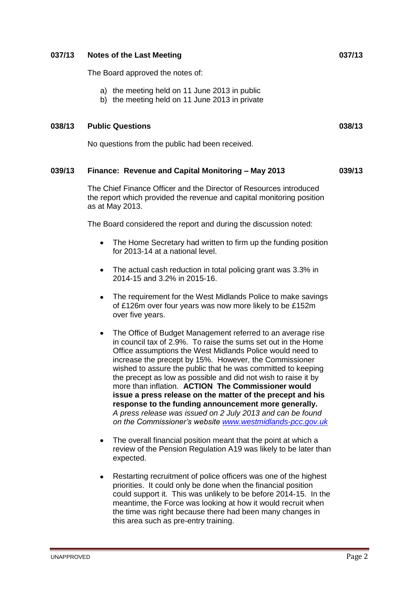## **037/13 Notes of the Last Meeting 037/13**

The Board approved the notes of:

- a) the meeting held on 11 June 2013 in public
- b) the meeting held on 11 June 2013 in private

#### **038/13 Public Questions 038/13**

No questions from the public had been received.

## **039/13 Finance: Revenue and Capital Monitoring – May 2013 039/13**

The Chief Finance Officer and the Director of Resources introduced the report which provided the revenue and capital monitoring position as at May 2013.

The Board considered the report and during the discussion noted:

- The Home Secretary had written to firm up the funding position  $\bullet$ for 2013-14 at a national level.
- The actual cash reduction in total policing grant was 3.3% in  $\bullet$ 2014-15 and 3.2% in 2015-16.
- The requirement for the West Midlands Police to make savings  $\bullet$ of £126m over four years was now more likely to be £152m over five years.
- The Office of Budget Management referred to an average rise in council tax of 2.9%. To raise the sums set out in the Home Office assumptions the West Midlands Police would need to increase the precept by 15%. However, the Commissioner wished to assure the public that he was committed to keeping the precept as low as possible and did not wish to raise it by more than inflation. **ACTION The Commissioner would issue a press release on the matter of the precept and his response to the funding announcement more generally.** *A press release was issued on 2 July 2013 and can be found on the Commissioner's website [www.westmidlands-pcc.gov.uk](http://www.westmidlands-pcc.gov.uk/)*
- The overall financial position meant that the point at which a review of the Pension Regulation A19 was likely to be later than expected.
- Restarting recruitment of police officers was one of the highest priorities. It could only be done when the financial position could support it. This was unlikely to be before 2014-15. In the meantime, the Force was looking at how it would recruit when the time was right because there had been many changes in this area such as pre-entry training.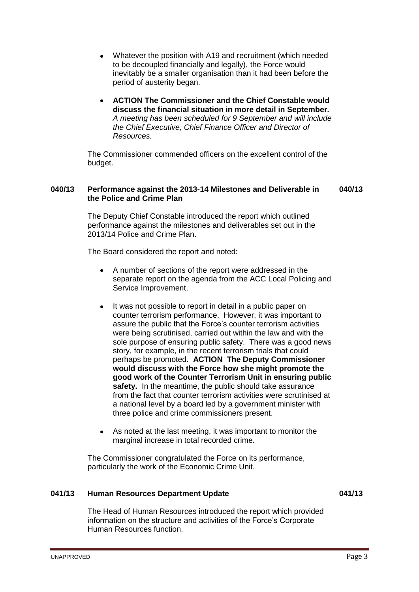- $\bullet$ Whatever the position with A19 and recruitment (which needed to be decoupled financially and legally), the Force would inevitably be a smaller organisation than it had been before the period of austerity began.
- **ACTION The Commissioner and the Chief Constable would discuss the financial situation in more detail in September.** *A meeting has been scheduled for 9 September and will include the Chief Executive, Chief Finance Officer and Director of Resources.*

The Commissioner commended officers on the excellent control of the budget.

#### **040/13 Performance against the 2013-14 Milestones and Deliverable in the Police and Crime Plan 040/13**

The Deputy Chief Constable introduced the report which outlined performance against the milestones and deliverables set out in the 2013/14 Police and Crime Plan.

The Board considered the report and noted:

- A number of sections of the report were addressed in the separate report on the agenda from the ACC Local Policing and Service Improvement.
- It was not possible to report in detail in a public paper on  $\bullet$ counter terrorism performance. However, it was important to assure the public that the Force's counter terrorism activities were being scrutinised, carried out within the law and with the sole purpose of ensuring public safety.There was a good news story, for example, in the recent terrorism trials that could perhaps be promoted. **ACTION The Deputy Commissioner would discuss with the Force how she might promote the good work of the Counter Terrorism Unit in ensuring public safety.** In the meantime, the public should take assurance from the fact that counter terrorism activities were scrutinised at a national level by a board led by a government minister with three police and crime commissioners present.
- As noted at the last meeting, it was important to monitor the marginal increase in total recorded crime.

The Commissioner congratulated the Force on its performance, particularly the work of the Economic Crime Unit.

# **041/13 Human Resources Department Update 041/13**

The Head of Human Resources introduced the report which provided information on the structure and activities of the Force's Corporate Human Resources function.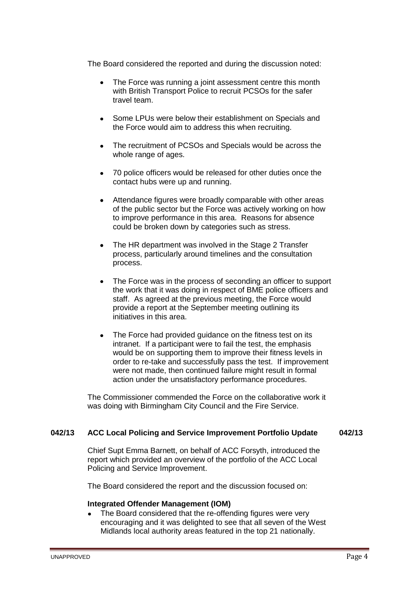The Board considered the reported and during the discussion noted:

- The Force was running a joint assessment centre this month  $\bullet$ with British Transport Police to recruit PCSOs for the safer travel team.
- Some LPUs were below their establishment on Specials and the Force would aim to address this when recruiting.
- The recruitment of PCSOs and Specials would be across the  $\bullet$ whole range of ages.
- 70 police officers would be released for other duties once the contact hubs were up and running.
- Attendance figures were broadly comparable with other areas of the public sector but the Force was actively working on how to improve performance in this area. Reasons for absence could be broken down by categories such as stress.
- The HR department was involved in the Stage 2 Transfer process, particularly around timelines and the consultation process.
- The Force was in the process of seconding an officer to support the work that it was doing in respect of BME police officers and staff. As agreed at the previous meeting, the Force would provide a report at the September meeting outlining its initiatives in this area.
- The Force had provided guidance on the fitness test on its intranet. If a participant were to fail the test, the emphasis would be on supporting them to improve their fitness levels in order to re-take and successfully pass the test. If improvement were not made, then continued failure might result in formal action under the unsatisfactory performance procedures.

The Commissioner commended the Force on the collaborative work it was doing with Birmingham City Council and the Fire Service.

# **042/13 ACC Local Policing and Service Improvement Portfolio Update 042/13**

Chief Supt Emma Barnett, on behalf of ACC Forsyth, introduced the report which provided an overview of the portfolio of the ACC Local Policing and Service Improvement.

The Board considered the report and the discussion focused on:

## **Integrated Offender Management (IOM)**

The Board considered that the re-offending figures were very encouraging and it was delighted to see that all seven of the West Midlands local authority areas featured in the top 21 nationally.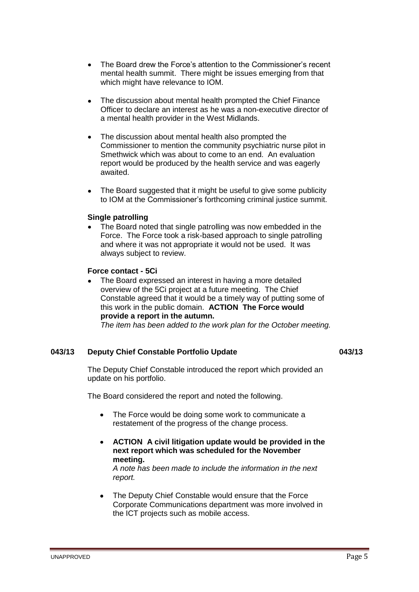- The Board drew the Force's attention to the Commissioner's recent  $\bullet$ mental health summit. There might be issues emerging from that which might have relevance to IOM.
- The discussion about mental health prompted the Chief Finance  $\bullet$ Officer to declare an interest as he was a non-executive director of a mental health provider in the West Midlands.
- The discussion about mental health also prompted the Commissioner to mention the community psychiatric nurse pilot in Smethwick which was about to come to an end. An evaluation report would be produced by the health service and was eagerly awaited.
- The Board suggested that it might be useful to give some publicity  $\bullet$ to IOM at the Commissioner's forthcoming criminal justice summit.

# **Single patrolling**

The Board noted that single patrolling was now embedded in the Force. The Force took a risk-based approach to single patrolling and where it was not appropriate it would not be used. It was always subject to review.

# **Force contact - 5Ci**

The Board expressed an interest in having a more detailed overview of the 5Ci project at a future meeting. The Chief Constable agreed that it would be a timely way of putting some of this work in the public domain. **ACTION The Force would provide a report in the autumn.**

*The item has been added to the work plan for the October meeting.*

## **043/13 Deputy Chief Constable Portfolio Update 043/13**

The Deputy Chief Constable introduced the report which provided an update on his portfolio.

The Board considered the report and noted the following.

- The Force would be doing some work to communicate a  $\bullet$ restatement of the progress of the change process.
- **ACTION A civil litigation update would be provided in the**   $\bullet$ **next report which was scheduled for the November meeting.**

*A note has been made to include the information in the next report.*

The Deputy Chief Constable would ensure that the Force Corporate Communications department was more involved in the ICT projects such as mobile access.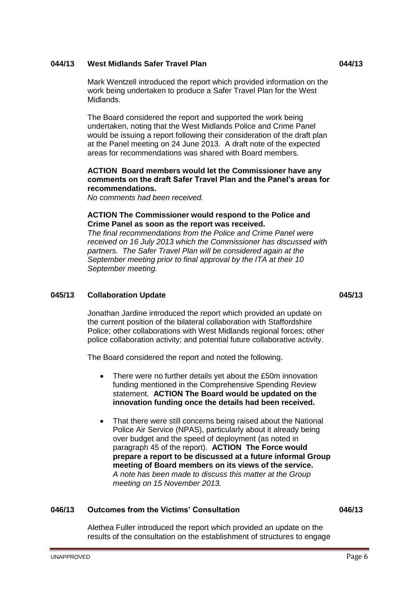# **044/13 West Midlands Safer Travel Plan 044/13**

Mark Wentzell introduced the report which provided information on the work being undertaken to produce a Safer Travel Plan for the West Midlands.

The Board considered the report and supported the work being undertaken, noting that the West Midlands Police and Crime Panel would be issuing a report following their consideration of the draft plan at the Panel meeting on 24 June 2013. A draft note of the expected areas for recommendations was shared with Board members.

# **ACTION Board members would let the Commissioner have any comments on the draft Safer Travel Plan and the Panel's areas for recommendations.**

*No comments had been received.* 

# **ACTION The Commissioner would respond to the Police and Crime Panel as soon as the report was received.**

*The final recommendations from the Police and Crime Panel were received on 16 July 2013 which the Commissioner has discussed with partners. The Safer Travel Plan will be considered again at the September meeting prior to final approval by the ITA at their 10 September meeting.*

# **045/13 Collaboration Update 045/13**

Jonathan Jardine introduced the report which provided an update on the current position of the bilateral collaboration with Staffordshire Police; other collaborations with West Midlands regional forces; other police collaboration activity; and potential future collaborative activity.

The Board considered the report and noted the following.

- There were no further details yet about the £50m innovation  $\bullet$ funding mentioned in the Comprehensive Spending Review statement. **ACTION The Board would be updated on the innovation funding once the details had been received.**
- That there were still concerns being raised about the National Police Air Service (NPAS), particularly about it already being over budget and the speed of deployment (as noted in paragraph 45 of the report). **ACTION The Force would prepare a report to be discussed at a future informal Group meeting of Board members on its views of the service.** *A note has been made to discuss this matter at the Group meeting on 15 November 2013.*

# **046/13 Outcomes from the Victims' Consultation 046/13**

Alethea Fuller introduced the report which provided an update on the results of the consultation on the establishment of structures to engage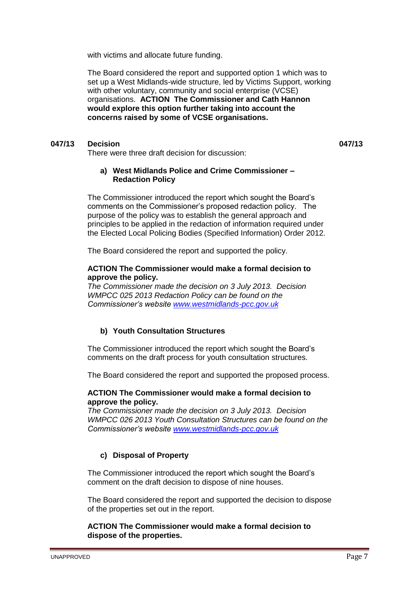with victims and allocate future funding.

The Board considered the report and supported option 1 which was to set up a West Midlands-wide structure, led by Victims Support, working with other voluntary, community and social enterprise (VCSE) organisations. **ACTION The Commissioner and Cath Hannon would explore this option further taking into account the concerns raised by some of VCSE organisations.**

# **047/13 Decision 047/13**

There were three draft decision for discussion:

# **a) West Midlands Police and Crime Commissioner – Redaction Policy**

The Commissioner introduced the report which sought the Board's comments on the Commissioner's proposed redaction policy. The purpose of the policy was to establish the general approach and principles to be applied in the redaction of information required under the Elected Local Policing Bodies (Specified Information) Order 2012.

The Board considered the report and supported the policy.

## **ACTION The Commissioner would make a formal decision to approve the policy.**

*The Commissioner made the decision on 3 July 2013. Decision WMPCC 025 2013 Redaction Policy can be found on the Commissioner's website [www.westmidlands-pcc.gov.uk](http://www.westmidlands-pcc.gov.uk/)*

# **b) Youth Consultation Structures**

The Commissioner introduced the report which sought the Board's comments on the draft process for youth consultation structures.

The Board considered the report and supported the proposed process.

## **ACTION The Commissioner would make a formal decision to approve the policy.**

*The Commissioner made the decision on 3 July 2013. Decision WMPCC 026 2013 Youth Consultation Structures can be found on the Commissioner's website [www.westmidlands-pcc.gov.uk](http://www.westmidlands-pcc.gov.uk/)*

# **c) Disposal of Property**

The Commissioner introduced the report which sought the Board's comment on the draft decision to dispose of nine houses.

The Board considered the report and supported the decision to dispose of the properties set out in the report.

# **ACTION The Commissioner would make a formal decision to dispose of the properties.**